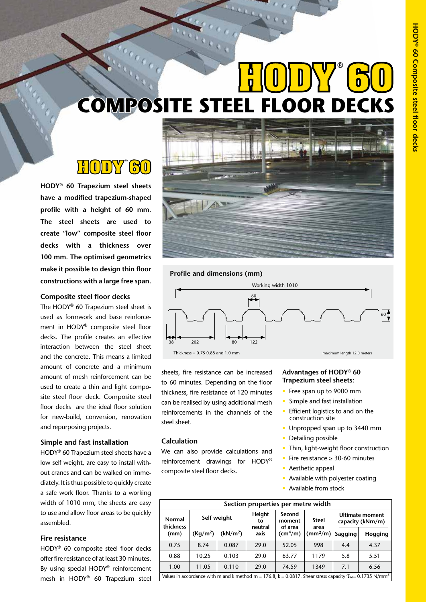# **COMPOSITE STEEL FLOOR DECKS HODY 60** ®

## **HODY 60** ®

**HODY<sup>®</sup> 60 Trapezium steel sheets have a modified trapezium-shaped profile with a height of 60 mm. The steel sheets are used to create "low" composite steel floor decks with a thickness over 100 mm. The optimised geometrics make it possible to design thin floor constructions with a large free span.**

#### **Composite steel floor decks**

The HODY® 60 Trapezium steel sheet is used as formwork and base reinforcement in HODY® composite steel floor decks. The profile creates an effective interaction between the steel sheet and the concrete. This means a limited amount of concrete and a minimum amount of mesh reinforcement can be used to create a thin and light composite steel floor deck. Composite steel floor decks are the ideal floor solution for new-build, conversion, renovation and repurposing projects.

#### **Simple and fast installation**

HODY® 60 Trapezium steel sheets have a low self weight, are easy to install without cranes and can be walked on immediately. It is thus possible to quickly create a safe work floor. Thanks to a working width of 1010 mm, the sheets are easy to use and allow floor areas to be quickly assembled.

#### **Fire resistance**

HODY® 60 composite steel floor decks offer fire resistance of at least 30 minutes. By using special HODY® reinforcement mesh in HODY® 60 Trapezium steel



**HODY 80**

#### **Profile and dimensions (mm)**



sheets, fire resistance can be increased to 60 minutes. Depending on the floor thickness, fire resistance of 120 minutes can be realised by using additional mesh reinforcements in the channels of the steel sheet.

#### **Calculation**

We can also provide calculations and reinforcement drawings for HODY® composite steel floor decks.

#### **Advantages of HODY**® **60 Trapezium steel sheets:**

- Free span up to 9000 mm
- Simple and fast installation
- Efficient logistics to and on the construction site
- Unpropped span up to 3440 mm
- Detailing possible
- Thin, light-weight floor construction
- Fire resistance ≥ 30-60 minutes
- Aesthetic appeal
- Available with polyester coating
- Available from stock

| Section properties per metre width                                                                                               |                      |                      |                 |                                     |                              |                                            |         |  |  |  |
|----------------------------------------------------------------------------------------------------------------------------------|----------------------|----------------------|-----------------|-------------------------------------|------------------------------|--------------------------------------------|---------|--|--|--|
| Normal<br>thickness<br>(mm)                                                                                                      |                      | Self weight          | Height<br>to    | Second<br>moment                    | <b>Steel</b>                 | <b>Ultimate moment</b><br>capacity (kNm/m) |         |  |  |  |
|                                                                                                                                  | (Kq/m <sup>2</sup> ) | (kN/m <sup>2</sup> ) | neutral<br>axis | of area<br>$\text{(cm}^4/\text{m})$ | area<br>(mm <sup>2</sup> /m) | Sagging                                    | Hogging |  |  |  |
| 0.75                                                                                                                             | 8.74                 | 0.087                | 29.0            | 52.05                               | 998                          | 4.4                                        | 4.37    |  |  |  |
| 0.88                                                                                                                             | 10.25                | 0.103                | 29.0            | 63.77                               | 1179                         | 5.8                                        | 5.51    |  |  |  |
| 1.00                                                                                                                             | 11.05                | 0.110                | 29.0            | 74.59                               | 1349                         | 7.1                                        | 6.56    |  |  |  |
| Values in accordance with m and k method m = 176.8, k = 0.0817. Shear stress capacity $T_{\text{Rd}}$ = 0.1735 N/mm <sup>2</sup> |                      |                      |                 |                                     |                              |                                            |         |  |  |  |